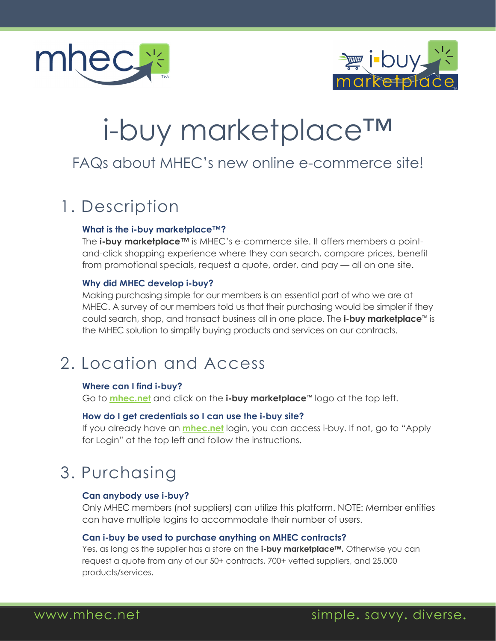



# i-buy marketplace™

### FAQs about MHEC's new online e-commerce site!

# 1. Description

#### **What is the i-buy marketplace™?**

The **i-buy marketplace™** is MHEC's e-commerce site. It offers members a pointand-click shopping experience where they can search, compare prices, benefit from promotional specials, request a quote, order, and pay — all on one site.

#### **Why did MHEC develop i-buy?**

Making purchasing simple for our members is an essential part of who we are at MHEC. A survey of our members told us that their purchasing would be simpler if they could search, shop, and transact business all in one place. The **i-buy marketplace™** is the MHEC solution to simplify buying products and services on our contracts.

# 2. Location and Access

#### **Where can I find i-buy?**

Go to **[mhec.net](www.mhec.net)** and click on the **i-buy marketplace™** logo at the top left.

#### **How do I get credentials so I can use the i-buy site?**

If you already have an **[mhec.net](www.mhec.net)** login, you can access i-buy. If not, go to "Apply for Login" at the top left and follow the instructions.

# 3. Purchasing

#### **Can anybody use i-buy?**

Only MHEC members (not suppliers) can utilize this platform. NOTE: Member entities can have multiple logins to accommodate their number of users.

#### **Can i-buy be used to purchase anything on MHEC contracts?**

Yes, as long as the supplier has a store on the **i-buy marketplace<sup>TM</sup>**. Otherwise you can request a quote from any of our 50+ contracts, 700+ vetted suppliers, and 25,000 products/services.